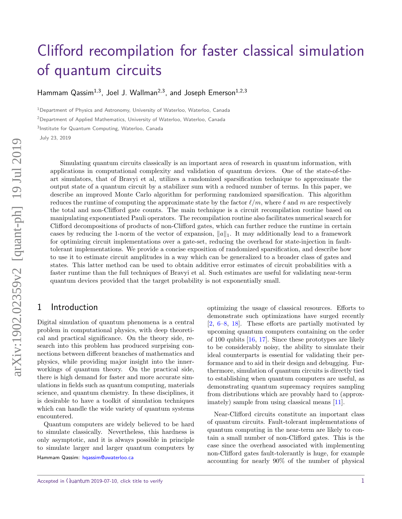# [Clifford recompilation for faster classical simulation](http://quantum-journal.org/?s=Clifford%20recompilation%20for%20faster%20classical%20simulation%20of%20quantum%20circuits) of quantum circuits

Hammam Qassim<sup>1,3</sup>, Joel J. Wallman<sup>2,3</sup>, and Joseph Emerson<sup>1,2,3</sup>

<sup>1</sup>Department of Physics and Astronomy, University of Waterloo, Waterloo, Canada

<sup>2</sup>Department of Applied Mathematics, University of Waterloo, Waterloo, Canada

3 Institute for Quantum Computing, Waterloo, Canada

July 23, 2019

Simulating quantum circuits classically is an important area of research in quantum information, with applications in computational complexity and validation of quantum devices. One of the state-of-theart simulators, that of Bravyi et al, utilizes a randomized sparsification technique to approximate the output state of a quantum circuit by a stabilizer sum with a reduced number of terms. In this paper, we describe an improved Monte Carlo algorithm for performing randomized sparsification. This algorithm reduces the runtime of computing the approximate state by the factor  $\ell/m$ , where  $\ell$  and  $m$  are respectively the total and non-Clifford gate counts. The main technique is a circuit recompilation routine based on manipulating exponentiated Pauli operators. The recompilation routine also facilitates numerical search for Clifford decompositions of products of non-Clifford gates, which can further reduce the runtime in certain cases by reducing the 1-norm of the vector of expansion,  $||a||_1$ . It may additionally lead to a framework for optimizing circuit implementations over a gate-set, reducing the overhead for state-injection in faulttolerant implementations. We provide a concise exposition of randomized sparsification, and describe how to use it to estimate circuit amplitudes in a way which can be generalized to a broader class of gates and states. This latter method can be used to obtain additive error estimates of circuit probabilities with a faster runtime than the full techniques of Bravyi et al. Such estimates are useful for validating near-term quantum devices provided that the target probability is not exponentially small.

### 1 Introduction

Digital simulation of quantum phenomena is a central problem in computational physics, with deep theoretical and practical significance. On the theory side, research into this problem has produced surprising connections between different branches of mathematics and physics, while providing major insight into the innerworkings of quantum theory. On the practical side, there is high demand for faster and more accurate simulations in fields such as quantum computing, materials science, and quantum chemistry. In these disciplines, it is desirable to have a toolkit of simulation techniques which can handle the wide variety of quantum systems encountered.

Quantum computers are widely believed to be hard to simulate classically. Nevertheless, this hardness is only asymptotic, and it is always possible in principle to simulate larger and larger quantum computers by

Hammam Qassim: [hqassim@uwaterloo.ca](mailto:hqassim@uwaterloo.ca)

optimizing the usage of classical resources. Efforts to demonstrate such optimizations have surged recently [\[2,](#page-7-0) [6–](#page-7-1)[8,](#page-7-2) [18\]](#page-8-0). These efforts are partially motivated by upcoming quantum computers containing on the order of 100 qubits [\[16,](#page-8-1) [17\]](#page-8-2). Since these prototypes are likely to be considerably noisy, the ability to simulate their ideal counterparts is essential for validating their performance and to aid in their design and debugging. Furthermore, simulation of quantum circuits is directly tied to establishing when quantum computers are useful, as demonstrating quantum supremacy requires sampling from distributions which are provably hard to (approximately) sample from using classical means [\[11\]](#page-8-3).

Near-Clifford circuits constitute an important class of quantum circuits. Fault-tolerant implementations of quantum computing in the near-term are likely to contain a small number of non-Clifford gates. This is the case since the overhead associated with implementing non-Clifford gates fault-tolerantly is huge, for example accounting for nearly 90% of the number of physical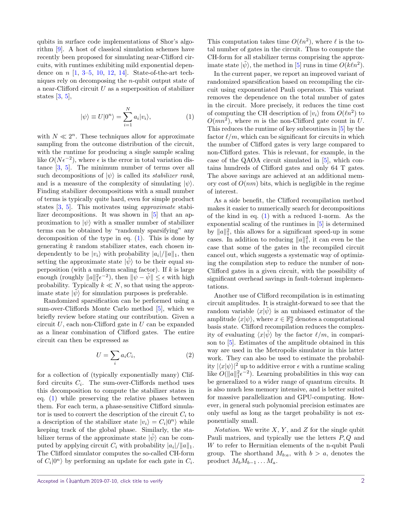qubits in surface code implementations of Shor's algorithm [\[9\]](#page-7-3). A host of classical simulation schemes have recently been proposed for simulating near-Clifford circuits, with runtimes exhibiting mild exponential dependence on *n* [\[1,](#page-7-4) [3–](#page-7-5)[5,](#page-7-6) [10,](#page-7-7) [12,](#page-8-4) [14\]](#page-8-5). State-of-the-art techniques rely on decomposing the *n*-qubit output state of a near-Clifford circuit *U* as a superposition of stabilizer states  $[3, 5]$  $[3, 5]$  $[3, 5]$ ,

$$
|\psi\rangle \equiv U|0^n\rangle = \sum_{i=1}^{N} a_i |v_i\rangle, \qquad (1)
$$

with  $N \ll 2^n$ . These techniques allow for approximate sampling from the outcome distribution of the circuit, with the runtime for producing a single sample scaling like  $O(N\epsilon^{-2})$ , where  $\epsilon$  is the error in total variation distance [\[3,](#page-7-5) [5\]](#page-7-6). The minimum number of terms over all such decompositions of  $|\psi\rangle$  is called its *stabilizer rank*, and is a measure of the complexity of simulating  $|\psi\rangle$ . Finding stabilizer decompositions with a small number of terms is typically quite hard, even for simple product states [\[3,](#page-7-5) [5\]](#page-7-6). This motivates using approximate stabilizer decompositions. It was shown in [\[5\]](#page-7-6) that an approximation to  $|\psi\rangle$  with a smaller number of stabilizer terms can be obtained by "randomly sparsifying" any decomposition of the type in eq.  $(1)$ . This is done by generating *k* random stabilizer states, each chosen independently to be  $|v_i\rangle$  with probability  $|a_i|/||a||_1$ , then setting the approximate state  $|\psi\rangle$  to be their equal superposition (with a uniform scaling factor). If *k* is large enough (roughly  $||a||_1^2 \epsilon^{-2}$ ), then  $||\psi - \tilde{\psi}|| \leq \epsilon$  with high probability. Typically  $k \ll N$ , so that using the approximate state  $|\psi\rangle$  for simulation purposes is preferable.

Randomized sparsification can be performed using a sum-over-Cliffords Monte Carlo method [\[5\]](#page-7-6), which we briefly review before stating our contribution. Given a circuit *U*, each non-Clifford gate in *U* can be expanded as a linear combination of Clifford gates. The entire circuit can then be expressed as

$$
U = \sum_{i} a_i C_i,\tag{2}
$$

for a collection of (typically exponentially many) Clifford circuits  $C_i$ . The sum-over-Cliffords method uses this decomposition to compute the stabilizer states in eq. [\(1\)](#page-1-0) while preserving the relative phases between them. For each term, a phase-sensitive Clifford simulator is used to convert the description of the circuit  $C_i$  to a description of the stabilizer state  $|v_i\rangle = C_i|0^n\rangle$  while keeping track of the global phase. Similarly, the stabilizer terms of the approximate state  $|\psi\rangle$  can be computed by applying circuit  $C_i$  with probability  $|a_i|/||a||_1$ . The Clifford simulator computes the so-called CH-form of  $C_i|0^n\rangle$  by performing an update for each gate in  $C_i$ .

This computation takes time  $O(\ell n^2)$ , where  $\ell$  is the total number of gates in the circuit. Thus to compute the CH-form for all stabilizer terms comprising the approximate state  $|\tilde{\psi}\rangle$ , the method in [\[5\]](#page-7-6) runs in time  $O(k\ell n^2)$ .

<span id="page-1-0"></span>In the current paper, we report an improved variant of randomized sparsification based on recompiling the circuit using exponentiated Pauli operators. This variant removes the dependence on the total number of gates in the circuit. More precisely, it reduces the time cost of computing the CH description of  $|v_i\rangle$  from  $O(\ell n^2)$  to  $O(mn^2)$ , where *m* is the non-Clifford gate count in *U*. This reduces the runtime of key subroutines in [\[5\]](#page-7-6) by the factor  $\ell/m$ , which can be significant for circuits in which the number of Clifford gates is very large compared to non-Clifford gates. This is relevant, for example, in the case of the QAOA circuit simulated in [\[5\]](#page-7-6), which contains hundreds of Clifford gates and only 64 T gates. The above savings are achieved at an additional memory cost of  $O(nm)$  bits, which is negligible in the regime of interest.

As a side benefit, the Clifford recompilation method makes it easier to numerically search for decompositions of the kind in eq. [\(1\)](#page-1-0) with a reduced 1-norm. As the exponential scaling of the runtimes in [\[5\]](#page-7-6) is determined by  $||a||_1^2$ , this allows for a significant speed-up in some cases. In addition to reducing  $||a||_1^2$ , it can even be the case that some of the gates in the recompiled circuit cancel out, which suggests a systematic way of optimizing the compilation step to reduce the number of non-Clifford gates in a given circuit, with the possibility of significant overhead savings in fault-tolerant implementations.

Another use of Clifford recompilation is in estimating circuit amplitudes. It is straight-forward to see that the random variable  $\langle x|\psi\rangle$  is an unbiased estimator of the amplitude  $\langle x|\psi\rangle$ , where  $x \in \mathbb{F}_2^n$  denotes a computational basis state. Clifford recompilation reduces the complexity of evaluating  $\langle x|\tilde{\psi}\rangle$  by the factor  $\ell/m$ , in comparison to [\[5\]](#page-7-6). Estimates of the amplitude obtained in this way are used in the Metropolis simulator in this latter work. They can also be used to estimate the probability  $|\langle x|\psi\rangle|^2$  up to additive error  $\epsilon$  with a runtime scaling like  $O(||a||_1^2 \epsilon^{-2})$ . Learning probabilities in this way can be generalized to a wider range of quantum circuits. It is also much less memory intensive, and is better suited for massive parallelization and GPU-computing. However, in general such polynomial precision estimates are only useful as long as the target probability is not exponentially small.

Notation. We write *X*, *Y* , and *Z* for the single qubit Pauli matrices, and typically use the letters *P, Q* and *W* to refer to Hermitian elements of the n-qubit Pauli group. The shorthand  $M_{b:a}$ , with  $b > a$ , denotes the product  $M_bM_{b-1}\ldots M_a$ .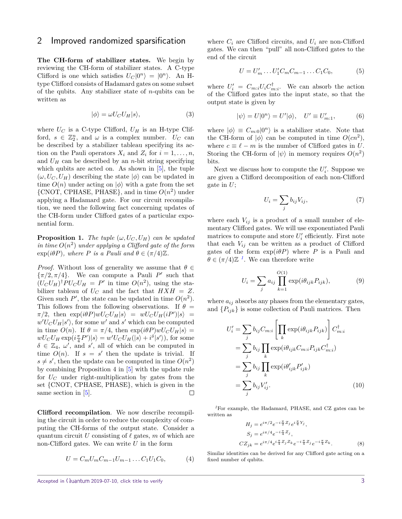#### <span id="page-2-4"></span>2 Improved randomized sparsification

The CH-form of stabilizer states. We begin by reviewing the CH-form of stabilizer states. A C-type Clifford is one which satisfies  $U_C|0^n\rangle = |0^n\rangle$ . An Htype Clifford consists of Hadamard gates on some subset of the qubits. Any stabilizer state of *n*-qubits can be written as

$$
|\phi\rangle = \omega U_C U_H |s\rangle, \tag{3}
$$

where  $U_C$  is a C-type Clifford,  $U_H$  is an H-type Clifford,  $s \in \mathbb{Z}_2^n$ , and  $\omega$  is a complex number.  $U_C$  can be described by a stabilizer tableau specifying its action on the Pauli operators  $X_i$  and  $Z_i$  for  $i = 1, \ldots, n$ , and  $U_H$  can be described by an *n*-bit string specifying which qubits are acted on. As shown in  $[5]$ , the tuple  $(\omega, U_C, U_H)$  describing the state  $|\phi\rangle$  can be updated in time  $O(n)$  under acting on  $|\phi\rangle$  with a gate from the set  $\{CNOT, CPHASE, PHASE\}$ , and in time  $O(n^2)$  under applying a Hadamard gate. For our circuit recompilation, we need the following fact concerning updates of the CH-form under Clifford gates of a particular exponential form.

<span id="page-2-2"></span>**Proposition 1.** *The tuple*  $(\omega, U_C, U_H)$  *can be updated* in time  $O(n^2)$  under applying a Clifford gate of the form  $\exp(i\theta P)$ *, where P is a Pauli and*  $\theta \in (\pi/4)\mathbb{Z}$ *.* 

*Proof.* Without loss of generality we assume that  $\theta \in$  $\{\pi/2, \pi/4\}$ . We can compute a Pauli *P*' such that  $(U_C U_H)^{\dagger} P U_C U_H = P'$  in time  $O(n^2)$ , using the stabilizer tableau of  $U_C$  and the fact that  $H X H = Z$ . Given such  $P'$ , the state can be updated in time  $O(n^2)$ . This follows from the following observations. If  $\theta =$  $\pi/2$ , then  $\exp(i\theta P)wU_C U_H|s\rangle = wU_C U_H(iP')|s\rangle =$  $w'U_C U_H |s'\rangle$ , for some  $w'$  and  $s'$  which can be computed in time  $O(n)$ . If  $\theta = \pi/4$ , then  $\exp(i\theta P)wU_C U_H|s\rangle =$  $wU_C U_H \exp(i\frac{\pi}{4}P')|s\rangle = w'U_C U_H(|s\rangle + i^{\delta}|s'\rangle)$ , for some  $\delta \in \mathbb{Z}_4$ ,  $\omega'$ , and *s'*, all of which can be computed in time  $O(n)$ . If  $s = s'$  then the update is trivial. If  $s \neq s'$ , then the update can be computed in time  $O(n^2)$ by combining Proposition 4 in [\[5\]](#page-7-6) with the update rule for *U<sup>C</sup>* under right-multiplication by gates from the set {CNOT, CPHASE, PHASE}, which is given in the same section in [\[5\]](#page-7-6).  $\Box$ 

Clifford recompilation. We now describe recompiling the circuit in order to reduce the complexity of computing the CH-forms of the output state. Consider a quantum circuit *U* consisting of  $\ell$  gates, *m* of which are non-Clifford gates. We can write *U* in the form

$$
U = C_m U_m C_{m-1} U_{m-1} \dots C_1 U_1 C_0, \tag{4}
$$

where  $C_i$  are Clifford circuits, and  $U_i$  are non-Clifford gates. We can then "pull" all non-Clifford gates to the end of the circuit

$$
U = U'_{m} \dots U'_{1} C_{m} C_{m-1} \dots C_{1} C_{0}, \tag{5}
$$

where  $U_i' = C_{m:i} U_i C_{m:i}^{\dagger}$ . We can absorb the action of the Clifford gates into the input state, so that the output state is given by

<span id="page-2-3"></span>
$$
|\psi\rangle = U|0^n\rangle = U'|\phi\rangle, \quad U' \equiv U'_{m:1},\tag{6}
$$

where  $|\phi\rangle \equiv C_{m:0}|0^n\rangle$  is a stabilizer state. Note that the CH-form of  $|\phi\rangle$  can be computed in time  $O(cn^2)$ , where  $c \equiv \ell - m$  is the number of Clifford gates in *U*. Storing the CH-form of  $|\psi\rangle$  in memory requires  $O(n^2)$ bits.

Next we discuss how to compute the  $U_i'$ . Suppose we are given a Clifford decomposition of each non-Clifford gate in *U*;

$$
U_i = \sum_j b_{ij} V_{ij},\tag{7}
$$

where each  $V_{ij}$  is a product of a small number of elementary Clifford gates. We will use exponentiated Pauli matrices to compute and store  $U_i'$  efficiently. First note that each  $V_{ij}$  can be written as a product of Clifford gates of the form  $\exp(i\theta P)$  where *P* is a Pauli and  $\theta \in (\pi/4)\mathbb{Z}$ <sup>[1](#page-2-0)</sup>. We can therefore write

$$
U_i = \sum_j a_{ij} \prod_{k=1}^{O(1)} \exp(i\theta_{ijk} P_{ijk}),
$$
 (9)

where  $a_{ij}$  absorbs any phases from the elementary gates, and  ${P_{ijk}}$  is some collection of Pauli matrices. Then

$$
U'_{i} = \sum_{j} b_{ij} C_{m:i} \left[ \prod_{k} \exp(i\theta_{ijk} P_{ijk}) \right] C_{m:i}^{\dagger}
$$
  
= 
$$
\sum_{j} b_{ij} \prod_{k} \exp(i\theta_{ijk} C_{m:i} P_{ijk} C_{m:i}^{\dagger})
$$
  
= 
$$
\sum_{j} b_{ij} \prod_{k} \exp(i\theta'_{ijk} P'_{ijk})
$$
  
= 
$$
\sum_{j} b_{ij} V'_{ij}.
$$
 (10)

<span id="page-2-0"></span>*<sup>1</sup>*For example, the Hadamard, PHASE, and CZ gates can be written as

<span id="page-2-1"></span>
$$
H_j = e^{i\pi/2} e^{-i\frac{\pi}{2} Z_j} e^{i\frac{\pi}{4} Y_j},
$$
  
\n
$$
S_j = e^{i\pi/4} e^{-i\frac{\pi}{4} Z_j},
$$
  
\n
$$
CZ_{jk} = e^{i\pi/4} e^{i\frac{\pi}{4} Z_j Z_k} e^{-i\frac{\pi}{4} Z_j} e^{-i\frac{\pi}{4} Z_k}.
$$
\n(8)

Similar identities can be derived for any Clifford gate acting on a fixed number of qubits.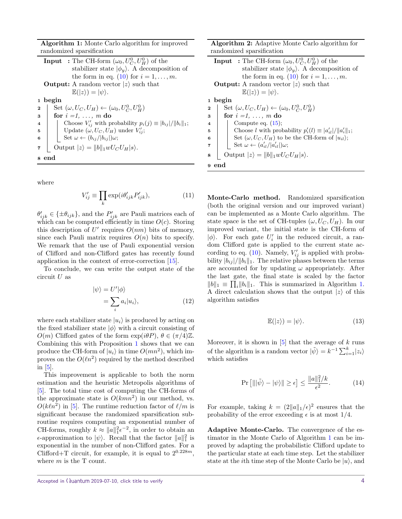**Algorithm 1:** Monte Carlo algorithm for improved randomized sparsification

|                         | <b>Input</b> : The CH-form $(\omega_0, U_C^0, U_H^0)$ of the           |
|-------------------------|------------------------------------------------------------------------|
|                         | stabilizer state $ \phi_y\rangle$ . A decomposition of                 |
|                         | the form in eq. (10) for $i = 1, \ldots, m$ .                          |
|                         | <b>Output:</b> A random vector $ z\rangle$ such that                   |
|                         | $\mathbb{E}( z\rangle) =  \psi\rangle.$                                |
|                         | 1 begin                                                                |
| $\overline{2}$          | Set $(\omega, U_C, U_H) \leftarrow (\omega_0, U_C^0, U_H^0)$           |
| 3                       | for $i = 1, \ldots, m$ do                                              |
| $\overline{\mathbf{4}}$ | Choose $V'_{ij}$ with probability $p_i(j) \equiv  b_{ij} /  b_i  _1$ ; |
| 5                       | Update $(\omega, U_C, U_H)$ under $V'_{ij}$ ;                          |
| 6                       | Set $\omega \leftarrow (b_{ij}/ b_{ij} )\omega;$                       |
| 7                       | Output $ z\rangle =   b  _1 w U_C U_H  s\rangle$ .                     |
| 8 end                   |                                                                        |
|                         |                                                                        |

<span id="page-3-0"></span>where

$$
V'_{ij} \equiv \prod_k \exp(i\theta'_{ijk} P'_{ijk}),\tag{11}
$$

 $\theta'_{ijk} \in {\{\pm \theta_{ijk}\}}$ , and the  $P'_{ijk}$  are Pauli matrices each of which can be computed efficiently in time  $O(c)$ . Storing this description of  $U'$  requires  $O(nm)$  bits of memory, since each Pauli matrix requires  $O(n)$  bits to specify. We remark that the use of Pauli exponential version of Clifford and non-Clifford gates has recently found application in the context of error-correction [\[15\]](#page-8-6).

To conclude, we can write the output state of the circuit *U* as

$$
|\psi\rangle = U'|\phi\rangle
$$
  
=  $\sum_{i} a_i |u_i\rangle,$  (12)

where each stabilizer state  $|u_i\rangle$  is produced by acting on the fixed stabilizer state  $|\phi\rangle$  with a circuit consisting of *O*(*m*) Clifford gates of the form exp( $iθP$ ),  $θ ∈ (π/4)Z$ . Combining this with Proposition [1](#page-2-2) shows that we can produce the CH-form of  $|u_i\rangle$  in time  $O(mn^2)$ , which improves on the  $O(\ell n^2)$  required by the method described in [\[5\]](#page-7-6).

This improvement is applicable to both the norm estimation and the heuristic Metropolis algorithms of [\[5\]](#page-7-6). The total time cost of computing the CH-forms of the approximate state is  $O(kmn^2)$  in our method, vs.  $O(k\ell n^2)$  in [\[5\]](#page-7-6). The runtime reduction factor of  $\ell/m$  is significant because the randomized sparsification subroutine requires computing an exponential number of CH-forms, roughly  $k \approx ||a||_1^2 \epsilon^{-2}$ , in order to obtain an *ε*-approximation to  $|\psi\rangle$ . Recall that the factor  $||a||_1^2$  is exponential in the number of non-Clifford gates. For a Clifford+T circuit, for example, it is equal to  $2^{0.228m}$ , where *m* is the T count.

**Input** : The CH-form  $(\omega_0, U_C^0, U_H^0)$  of the stabilizer state  $|\phi_y\rangle$ . A decomposition of the form in eq.  $(10)$  for  $i = 1, ..., m$ . **Output:** A random vector  $|z\rangle$  such that  $\mathbb{E}(|z\rangle) = |\psi\rangle.$ **<sup>1</sup> begin 2**  $\left( \omega, U_C, U_H \right) \leftarrow (\omega_0, U_C^0, U_H^0)$ **<sup>3</sup> for** *i =1, . . . , m* **do 4** | Compute eq. [\(15\)](#page-4-0); **5** Choose *l* with probability  $p'_i(l) \equiv |a'_{i}l|/||a'_{i}||_1;$ **6**  $\left| \quad \right|$  Set  $(\omega, U_C, U_H)$  to be the CH-form of  $|u_{il}\rangle$ ; **7**  $\left| \quad \right|$  Set  $\omega \leftarrow (a'_{il}/|a'_{il}|)\omega;$  $\text{Output } |z\rangle = ||b||_1 wU_C U_H|s\rangle.$ **<sup>9</sup> end**

<span id="page-3-1"></span>Monte-Carlo method. Randomized sparsification (both the original version and our improved variant) can be implemented as a Monte Carlo algorithm. The state space is the set of CH-tuples  $(\omega, U_C, U_H)$ . In our improved variant, the initial state is the CH-form of  $|\phi\rangle$ . For each gate  $U_i'$  in the reduced circuit, a random Clifford gate is applied to the current state according to eq.  $(10)$ . Namely,  $V'_{ij}$  is applied with probability  $|b_{ij}|/||b_i||_1$ . The relative phases between the terms are accounted for by updating  $\omega$  appropriately. After the last gate, the final state is scaled by the factor  $||b||_1 \equiv \prod_i ||b_i||_1$ . This is summarized in Algorithm [1.](#page-3-0) A direct calculation shows that the output  $|z\rangle$  of this algorithm satisfies

<span id="page-3-2"></span>
$$
\mathbb{E}(|z\rangle) = |\psi\rangle. \tag{13}
$$

Moreover, it is shown in [\[5\]](#page-7-6) that the average of *k* runs of the algorithm is a random vector  $|\tilde{\psi}\rangle = k^{-1} \sum_{i=1}^{k} |z_i\rangle$ which satisfies

$$
\Pr\left[\|\|\tilde{\psi}\rangle - |\psi\rangle\|\geq \epsilon\right] \leq \frac{\|a\|_1^2/k}{\epsilon^2}.\tag{14}
$$

For example, taking  $k = (2||a||_1/\epsilon)^2$  ensures that the probability of the error exceeding  $\epsilon$  is at most 1/4.

Adaptive Monte-Carlo. The convergence of the estimator in the Monte Carlo of Algorithm [1](#page-3-0) can be improved by adapting the probabilistic Clifford update to the particular state at each time step. Let the stabilizer state at the *i*<sup>th</sup> time step of the Monte Carlo be  $|u\rangle$ , and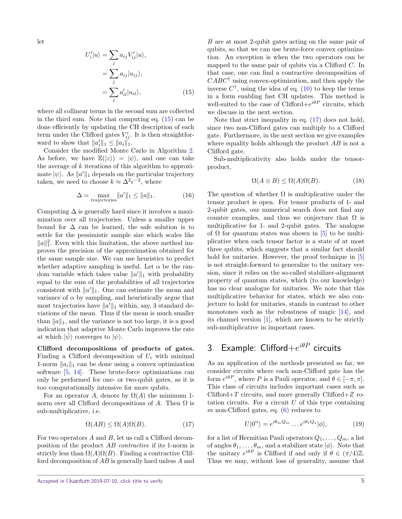let

$$
U'_{i}|u\rangle = \sum_{j} a_{ij} V'_{ij}|u\rangle,
$$
  
= 
$$
\sum_{j} a_{ij} |u_{ij}\rangle,
$$
  
= 
$$
\sum_{l} a'_{il} |u_{il}\rangle,
$$
 (15)

where all collinear terms in the second sum are collected in the third sum. Note that computing eq. [\(15\)](#page-4-0) can be done efficiently by updating the CH description of each term under the Clifford gates  $V'_{ij}$ . It is then straightforward to show that  $||a'_i||_1 \leq ||a_i||_1$ .

Consider the modified Monte Carlo in Algorithm [2.](#page-3-1) As before, we have  $\mathbb{E}(|z\rangle) = |\psi\rangle$ , and one can take the average of *k* iterations of this algorithm to approximate  $|\psi\rangle$ . As  $||a'||_1$  depends on the particular trajectory taken, we need to choose  $k \approx \Delta^2 \epsilon^{-2}$ , where

$$
\Delta = \max_{\text{trajectories}} \|a'\|_1 \le \|a\|_1. \tag{16}
$$

Computing  $\Delta$  is generally hard since it involves a maximization over all trajectories. Unless a smaller upper bound for  $\Delta$  can be learned, the safe solution is to settle for the pessimistic sample size which scales like  $||a||_1^2$ . Even with this limitation, the above method improves the precision of the approximation obtained for the same sample size. We can use heuristics to predict whether adaptive sampling is useful. Let  $\alpha$  be the random variable which takes value  $||a'||_1$  with probability equal to the sum of the probabilities of all trajectories consistent with  $||a'||_1$ . One can estimate the mean and variance of  $\alpha$  by sampling, and heuristically argue that most trajectories have  $||a'||_1$  within, say, 3 standard deviations of the mean. Thus if the mean is much smaller than  $\|a\|_1$ , and the variance is not too large, it is a good indication that adaptive Monte Carlo improves the rate at which  $|\psi\rangle$  converges to  $|\psi\rangle$ .

Clifford decompositions of products of gates. Finding a Clifford decomposition of  $U_i$  with minimal 1-norm  $||a_i||_1$  can be done using a convex optimization software [\[5,](#page-7-6) [14\]](#page-8-5). These brute-force optimizations can only be performed for one- or two-qubit gates, as it is too computationally intensive for more qubits.

For an operator *A*, denote by  $\Omega(A)$  the minimum 1norm over all Clifford decompositions of  $A$ . Then  $\Omega$  is sub-multiplicative, i.e.

$$
\Omega(AB) \le \Omega(A)\Omega(B). \tag{17}
$$

For two operators *A* and *B*, let us call a Clifford decomposition of the product *AB* contractive if its 1-norm is strictly less than  $\Omega(A)\Omega(B)$ . Finding a contractive Clifford decomposition of *AB* is generally hard unless *A* and

*B* are at most 2-qubit gates acting on the same pair of qubits, so that we can use brute-force convex optimization. An exception is when the two operators can be mapped to the same pair of qubits via a Clifford *C*. In that case, one can find a contractive decomposition of *CABC*† using convex-optimization, and then apply the inverse  $C^{\dagger}$ , using the idea of eq. [\(10\)](#page-2-1) to keep the terms in a form enabling fast CH updates. This method is well-suited to the case of Clifford $+e^{i\theta P}$  circuits, which we discuss in the next section.

<span id="page-4-0"></span>Note that strict inequality in eq. [\(17\)](#page-4-1) does not hold, since two non-Clifford gates can multiply to a Clifford gate. Furthermore, in the next section we give examples where equality holds although the product *AB* is not a Clifford gate.

Sub-multiplicativity also holds under the tensorproduct,

$$
\Omega(A \otimes B) \le \Omega(A)\Omega(B). \tag{18}
$$

The question of whether  $\Omega$  is multiplicative under the tensor product is open. For tensor products of 1- and 2-qubit gates, our numerical search does not find any counter examples, and thus we conjecture that  $\Omega$  is multiplicative for 1- and 2-qubit gates. The analogue of  $\Omega$  for quantum states was shown in [\[5\]](#page-7-6) to be multiplicative when each tensor factor is a state of at most three qubits, which suggests that a similar fact should hold for unitaries. However, the proof technique in [\[5\]](#page-7-6) is not straight-forward to generalize to the unitary version, since it relies on the so-called stabilizer-alignment property of quantum states, which (to our knowledge) has no clear analogue for unitaries. We note that this multiplicative behavior for states, which we also conjecture to hold for unitaries, stands in contrast to other monotones such as the robustness of magic [\[14\]](#page-8-5), and its channel version [\[1\]](#page-7-4), which are known to be strictly sub-multiplicative in important cases.

## 3 Example: Clifford $+e^{i\theta P}$  circuits

As an application of the methods presented so far, we consider circuits where each non-Clifford gate has the form  $e^{i\theta P}$ , where *P* is a Pauli operator, and  $\theta \in [-\pi, \pi]$ . This class of circuits includes important cases such as Clifford+*T* circuits, and more generally Clifford+*Z* rotation circuits. For a circuit *U* of this type containing *m* non-Clifford gates, eq. [\(6\)](#page-2-3) reduces to

<span id="page-4-2"></span>
$$
U|0^n\rangle = e^{i\theta_m Q_m} \dots e^{i\theta_1 Q_1}|\phi\rangle, \tag{19}
$$

<span id="page-4-1"></span>for a list of Hermitian Pauli operators  $Q_1, \ldots, Q_m$ , a list of angles  $\theta_1, \ldots, \theta_m$ , and a stabilizer state  $|\phi\rangle$ . Note that the unitary  $e^{i\theta P}$  is Clifford if and only if  $\theta \in (\pi/4)\mathbb{Z}$ . Thus we may, without loss of generality, assume that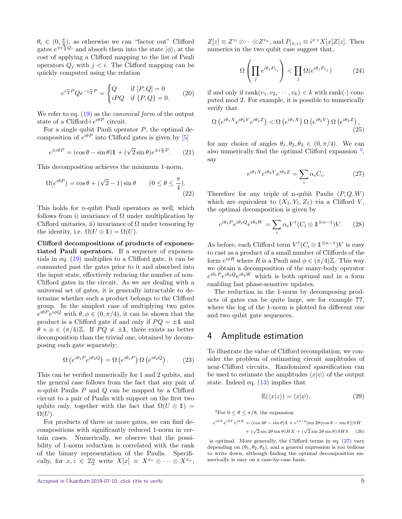$\theta_i \in (0, \frac{\pi}{4})$ , as otherwise we can "factor out" Clifford gates  $e^{\pm i\frac{\pi}{4}Q_i}$  and absorb them into the state  $|\phi\rangle$ , at the cost of applying a Clifford mapping to the list of Pauli operators  $Q_j$  with  $j < i$ . The Clifford mapping can be quickly computed using the relation

$$
e^{i\frac{\pi}{4}P}Qe^{-i\frac{\pi}{4}P} = \begin{cases} Q & \text{if } [P,Q] = 0\\ iPQ & \text{if } \{P,Q\} = 0. \end{cases}
$$
 (20)

We refer to eq.  $(19)$  as the *canonical form* of the output state of a Clifford $+e^{i\theta P}$  circuit.

For a single qubit Pauli operator *P*, the optimal decomposition of  $e^{i\theta P}$  into Clifford gates is given by [\[5\]](#page-7-6)

$$
e^{\pm i\theta P} = (\cos\theta - \sin\theta)\mathbb{1} + (\sqrt{2}\sin\theta)e^{\pm i\frac{\pi}{4}P}.
$$
 (21)

This decomposition achieves the minimum 1-norm,

$$
\Omega(e^{i\theta P}) = \cos \theta + (\sqrt{2} - 1)\sin \theta \qquad (0 \le \theta \le \frac{\pi}{4}).
$$
\n(22)

This holds for *n*-qubit Pauli operators as well, which follows from i) invariance of  $\Omega$  under multiplication by Clifford unitaries, ii) invariance of  $\Omega$  under tensoring by the identity, i.e.  $\Omega(U \otimes \mathbb{1}) = \Omega(U)$ .

Clifford decompositions of products of exponentiated Pauli operators. If a sequence of exponentials in eq. [\(19\)](#page-4-2) multiplies to a Clifford gate, it can be commuted past the gates prior to it and absorbed into the input state, effectively reducing the number of non-Clifford gates in the circuit. As we are dealing with a universal set of gates, it is generally intractable to determine whether such a product belongs to the Clifford group. In the simplest case of multiplying two gates  $e^{i\theta P}e^{i\phi Q}$  with  $\theta, \phi \in (0, \pi/4)$ , it can be shown that the product is a Clifford gate if and only if  $PQ = \pm 1$  and  $\theta + \phi \in (\pi/4)\mathbb{Z}$ . If  $PQ \neq \pm 1$ , there exists no better decomposition than the trivial one, obtained by decomposing each gate separately;

$$
\Omega\left(e^{i\theta_1 P}e^{i\theta_2 Q}\right) = \Omega\left(e^{i\theta_1 P}\right)\Omega\left(e^{i\theta_2 Q}\right). \tag{23}
$$

This can be verified numerically for 1 and 2 qubits, and the general case follows from the fact that any pair of *n*-qubit Paulis *P* and *Q* can be mapped by a Clifford circuit to a pair of Paulis with support on the first two qubits only, together with the fact that  $\Omega(U \otimes 1)$  =  $\Omega(U)$ .

For products of three or more gates, we can find decompositions with significantly reduced 1-norm in certain cases. Numerically, we observe that the possibility of 1-norm reduction is correlated with the rank of the binary representation of the Paulis. Specifically, for  $x, z \in \mathbb{Z}_2^n$  write  $X[x] \equiv X^{x_1} \otimes \cdots \otimes X^{x_n}$ ,

 $Z[z] \equiv Z^{z_1} \otimes \cdots \otimes Z^{z_n}$ , and  $P_{(x,z)} \equiv i^{x \cdot z} X[x] Z[z]$ . Then numerics in the two qubit case suggest that,

$$
\Omega\left(\prod_j e^{i\theta_j P_{v_j}}\right) < \prod_j \Omega(e^{i\theta_j P_{v_j}}) \tag{24}
$$

if and only if  $\text{rank}(v_1, v_2, \dots, v_k) < k$  with  $\text{rank}(\cdot)$  computed mod 2. For example, it is possible to numerically verify that

$$
\Omega\left(e^{i\theta_1 X}e^{i\theta_2 Y}e^{i\theta_3 Z}\right) < \Omega\left(e^{i\theta_1 X}\right)\Omega\left(e^{i\theta_2 Y}\right)\Omega\left(e^{i\theta_3 Z}\right),\tag{25}
$$

for any choice of angles  $\theta_1, \theta_2, \theta_3 \in (0, \pi/4)$ . We can also numerically find the optimal Clifford expansion *[2](#page-5-0)* , say

<span id="page-5-1"></span>
$$
e^{i\theta_1 X} e^{i\theta_2 Y} e^{i\theta_3 Z} = \sum_i \alpha_i C_i.
$$
 (27)

Therefore for any triple of n-qubit Paulis (*P, Q, W*) which are equivalent to  $(X_1, Y_1, Z_1)$  via a Clifford *V*, the optimal decomposition is given by

$$
e^{i\theta_1 P} e^{i\theta_2 Q} e^{i\theta_3 W} = \sum_i \alpha_i V^{\dagger} (C_i \otimes \mathbb{1}^{\otimes n-1}) V. \tag{28}
$$

As before, each Clifford term  $V^{\dagger}$  $(C_i \otimes \mathbb{1}^{\otimes n-1})V$  is easy to cast as a product of a small number of Cliffords of the form  $e^{i\phi R}$  where *R* is a Pauli and  $\phi \in (\pi/4)\mathbb{Z}$ . This way we obtain a decomposition of the many-body operator  $e^{i\theta_1 P} e^{i\theta_2 Q} e^{i\theta_3 W}$  which is both optimal and in a form enabling fast phase-sensitive updates.

The reduction in the 1-norm by decomposing products of gates can be quite large, see for example **??**, where the log of the 1-norm is plotted for different one and two qubit gate sequences.

#### 4 Amplitude estimation

To illustrate the value of Clifford recompilation, we consider the problem of estimating circuit amplitudes of near-Clifford circuits. Randomized sparsification can be used to estimate the amplitudes  $\langle x|\psi\rangle$  of the output state. Indeed eq. [\(13\)](#page-3-2) implies that

$$
\mathbb{E}(\langle x|z\rangle) = \langle x|\psi\rangle,\tag{29}
$$

<span id="page-5-0"></span><sup>2</sup>For  $0 \le \theta \le \pi/8$ , the expansion

$$
e^{i\theta X}e^{i\theta Y}e^{i\theta Z} = (\cos 3\theta - \sin \theta)\mathbb{1} + e^{i\pi/4}[\sin 2\theta(\cos \theta - \sin \theta)]SH
$$

$$
+ (\sqrt{2}\sin 2\theta \sin \theta)HX + (\sqrt{2}\sin 2\theta \sin \theta) SH.
$$
 (26)

is optimal. More generally, the Clifford terms in eq. [\(27\)](#page-5-1) vary depending on  $(\theta_1, \theta_2, \theta_3)$ , and a general expression is too tedious to write down, although finding the optimal decomposition numerically is easy on a case-by-case basis.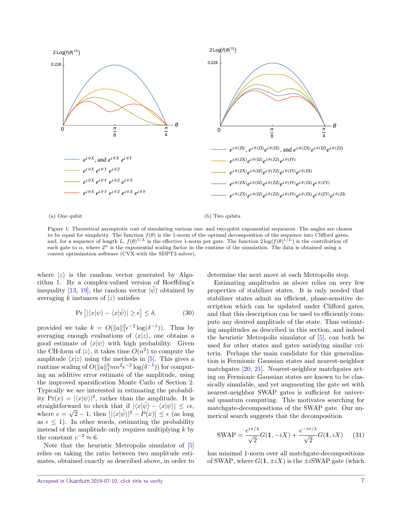

#### (a) One qubit

(b) Two qubits

Figure 1: Theoretical asymptotic cost of simulating various one- and two-qubit exponential sequences. The angles are chosen to be equal for simplicity. The function  $f(\theta)$  is the 1-norm of the optimal decomposition of the sequence into Clifford gates, and, for a sequence of length L,  $f(\theta)^{1/L}$  is the effective 1-norm per gate. The function  $2\log(f(\theta)^{1/L})$  is the contribution of each gate to  $\alpha$ , where  $2^{\alpha}$  is the exponential scaling factor in the runtime of the simulation. The data is obtained using a convex optimization software (CVX with the SDPT3 solver).

where  $|z\rangle$  is the random vector generated by Algorithm [1.](#page-3-0) By a complex-valued version of Hoeffding's inequality [\[13,](#page-8-7) [19\]](#page-8-8), the random vector  $|\psi\rangle$  obtained by averaging *k* instances of  $|z\rangle$  satisfies

$$
\Pr\left[|\langle x|\psi\rangle - \langle x|\tilde{\psi}\rangle| \ge \epsilon\right] \le \delta,\tag{30}
$$

provided we take  $k = O(||a||_1^2 \epsilon^{-2} \log(\delta^{-1}))$ . Thus by averaging enough evaluations of  $\langle x|z \rangle$ , one obtains a good estimate of  $\langle x|\psi\rangle$  with high probability. Given the CH-form of  $|z\rangle$ , it takes time  $O(n^2)$  to compute the amplitude  $\langle x|z \rangle$  using the methods in [\[5\]](#page-7-6). This gives a runtime scaling of  $O(||a||_1^2 mn^2 \epsilon^{-2} \log(\delta^{-1}))$  for computing an additive error estimate of the amplitude, using the improved sparsification Monte Carlo of Section [2.](#page-2-4) Typically we are interested in estimating the probability  $Pr(x) = |\langle x | \psi \rangle|^2$ , rather than the amplitude. It is straightforward to check that if  $|\langle x|\tilde{\psi}\rangle - \langle x|\psi\rangle| \leq c\epsilon$ , where  $c = \sqrt{2} - 1$ , then  $\left| |\langle x|\tilde{\psi} \rangle|^2 - P(x) \right| \leq \epsilon$  (as long as  $\epsilon \leq 1$ ). In other words, estimating the probability instead of the amplitude only requires multiplying *k* by the constant  $c^{-2} \approx 6$ .

Note that the heuristic Metropolis simulator of [\[5\]](#page-7-6) relies on taking the ratio between two amplitude estimates, obtained exactly as described above, in order to determine the next move at each Metropolis step.

Estimating amplitudes as above relies on very few properties of stabilizer states. It is only needed that stabilizer states admit an efficient, phase-sensitive description which can be updated under Clifford gates, and that this description can be used to efficiently compute any desired amplitude of the state. Thus estimating amplitudes as described in this section, and indeed the heuristic Metropolis simulator of [\[5\]](#page-7-6), can both be used for other states and gates satisfying similar criteria. Perhaps the main candidate for this generalization is Fermionic Gaussian states and nearest-neighbor matchgates [\[20,](#page-8-9) [21\]](#page-8-10). Nearest-neighbor matchgates acting on Fermionic Gaussian states are known to be classically simulable, and yet augmenting the gate set with nearest-neighbor SWAP gates is sufficient for universal quantum computing. This motivates searching for matchgate-decompositions of the SWAP gate. Our numerical search suggests that the decomposition

<span id="page-6-0"></span>
$$
SWAP = \frac{e^{i\pi/4}}{\sqrt{2}}G(1, -iX) + \frac{e^{-i\pi/4}}{\sqrt{2}}G(1, iX) \quad (31)
$$

has minimal 1-norm over all matchgate-decompositions of SWAP, where  $G(1, \pm iX)$  is the  $\pm i$ SWAP gate (which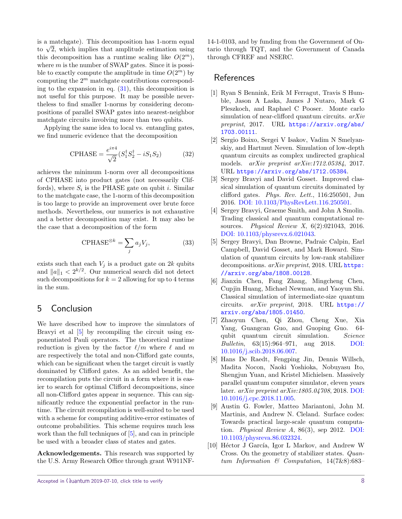is a matchgate). This decomposition has 1-norm equal is a matengate). This decomposition has 1-norm equal<br>to  $\sqrt{2}$ , which implies that amplitude estimation using this decomposition has a runtime scaling like  $O(2^m)$ , where *m* is the number of SWAP gates. Since it is possible to exactly compute the amplitude in time  $O(2^m)$  by computing the 2 *<sup>m</sup>* matchgate contributions corresponding to the expansion in eq.  $(31)$ , this decomposition is not useful for this purpose. It may be possible nevertheless to find smaller 1-norms by considering decompositions of parallel SWAP gates into nearest-neighbor matchgate circuits involving more than two qubits.

Applying the same idea to local vs. entangling gates, we find numeric evidence that the decomposition

$$
CPHASE = \frac{e^{i\pi 4}}{\sqrt{2}} (S_1^{\dagger} S_2^{\dagger} - iS_1 S_2)
$$
 (32)

achieves the minimum 1-norm over all decompositions of CPHASE into product gates (not necessarily Cliffords), where  $S_i$  is the PHASE gate on qubit *i*. Similar to the matchgate case, the 1-norm of this decomposition is too large to provide an improvement over brute force methods. Nevertheless, our numerics is not exhaustive and a better decomposition may exist. It may also be the case that a decomposition of the form

$$
CPHASE^{\otimes k} = \sum_{j} a_j V_j,\tag{33}
$$

exists such that each  $V_j$  is a product gate on 2*k* qubits and  $||a||_1 < 2^{k/2}$ . Our numerical search did not detect such decompositions for  $k = 2$  allowing for up to 4 terms in the sum.

#### 5 Conclusion

We have described how to improve the simulators of Bravyi et al [\[5\]](#page-7-6) by recompiling the circuit using exponentiated Pauli operators. The theoretical runtime reduction is given by the factor  $\ell/m$  where  $\ell$  and  $m$ are respectively the total and non-Clifford gate counts, which can be significant when the target circuit is vastly dominated by Clifford gates. As an added benefit, the recompilation puts the circuit in a form where it is easier to search for optimal Clifford decompositions, since all non-Clifford gates appear in sequence. This can significantly reduce the exponential prefactor in the runtime. The circuit recompilation is well-suited to be used with a scheme for computing additive-error estimates of outcome probabilities. This scheme requires much less work than the full techniques of [\[5\]](#page-7-6), and can in principle be used with a broader class of states and gates.

Acknowledgements. This research was supported by the U.S. Army Research Office through grant W911NF-

14-1-0103, and by funding from the Government of Ontario through TQT, and the Government of Canada through CFREF and NSERC.

### References

- <span id="page-7-4"></span>[1] Ryan S Bennink, Erik M Ferragut, Travis S Humble, Jason A Laska, James J Nutaro, Mark G Pleszkoch, and Raphael C Pooser. Monte carlo simulation of near-clifford quantum circuits.  $arXiv$ preprint, 2017. URL [https://arxiv.org/abs/](https://arxiv.org/abs/1703.00111) [1703.00111](https://arxiv.org/abs/1703.00111).
- <span id="page-7-0"></span>[2] Sergio Boixo, Sergei V Isakov, Vadim N Smelyanskiy, and Hartmut Neven. Simulation of low-depth quantum circuits as complex undirected graphical models. arXiv preprint arXiv:1712.05384, 2017. URL <https://arxiv.org/abs/1712.05384>.
- <span id="page-7-5"></span>[3] Sergey Bravyi and David Gosset. Improved classical simulation of quantum circuits dominated by clifford gates. Phys. Rev. Lett., 116:250501, Jun 2016. [DOI: 10.1103/PhysRevLett.116.250501.](https://doi.org/10.1103/PhysRevLett.116.250501)
- [4] Sergey Bravyi, Graeme Smith, and John A Smolin. Trading classical and quantum computational resources. Physical Review X, 6(2):021043, 2016. [DOI: 10.1103/physrevx.6.021043.](https://doi.org/10.1103/physrevx.6.021043)
- <span id="page-7-6"></span>[5] Sergey Bravyi, Dan Browne, Padraic Calpin, Earl Campbell, David Gosset, and Mark Howard. Simulation of quantum circuits by low-rank stabilizer decompositions. arXiv preprint, 2018. URL [https:](https://arxiv.org/abs/1808.00128) [//arxiv.org/abs/1808.00128](https://arxiv.org/abs/1808.00128).
- <span id="page-7-1"></span>[6] Jianxin Chen, Fang Zhang, Mingcheng Chen, Cupjin Huang, Michael Newman, and Yaoyun Shi. Classical simulation of intermediate-size quantum circuits. arXiv preprint, 2018. URL [https://](https://arxiv.org/abs/1805.01450) [arxiv.org/abs/1805.01450](https://arxiv.org/abs/1805.01450).
- [7] Zhaoyun Chen, Qi Zhou, Cheng Xue, Xia Yang, Guangcan Guo, and Guoping Guo. 64 qubit quantum circuit simulation. Science Bulletin, 63(15):964–971, aug 2018. [DOI:](https://doi.org/10.1016/j.scib.2018.06.007) [10.1016/j.scib.2018.06.007.](https://doi.org/10.1016/j.scib.2018.06.007)
- <span id="page-7-2"></span>[8] Hans De Raedt, Fengping Jin, Dennis Willsch, Madita Nocon, Naoki Yoshioka, Nobuyasu Ito, Shengjun Yuan, and Kristel Michielsen. Massively parallel quantum computer simulator, eleven years later. arXiv preprint arXiv:1805.04708, 2018. [DOI:](https://doi.org/10.1016/j.cpc.2018.11.005) [10.1016/j.cpc.2018.11.005.](https://doi.org/10.1016/j.cpc.2018.11.005)
- <span id="page-7-3"></span>[9] Austin G. Fowler, Matteo Mariantoni, John M. Martinis, and Andrew N. Cleland. Surface codes: Towards practical large-scale quantum computation. Physical Review A, 86(3), sep 2012. [DOI:](https://doi.org/10.1103/physreva.86.032324) [10.1103/physreva.86.032324.](https://doi.org/10.1103/physreva.86.032324)
- <span id="page-7-7"></span>[10] Héctor J García, Igor L Markov, and Andrew W Cross. On the geometry of stabilizer states. Quantum Information & Computation, 14(7&8):683–